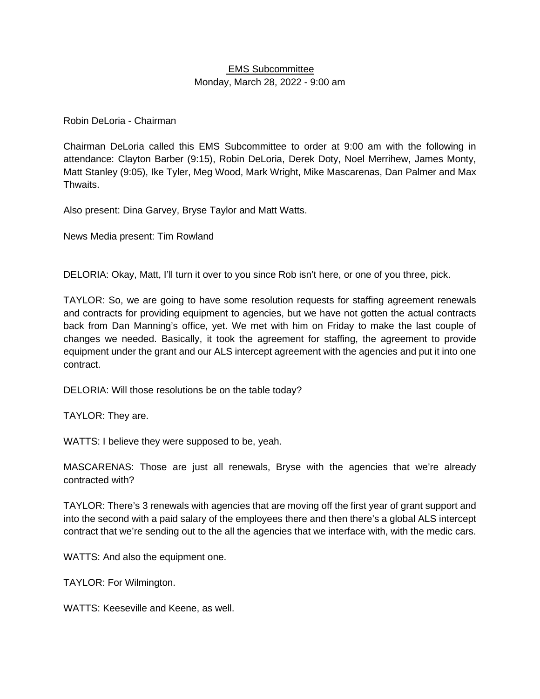## EMS Subcommittee Monday, March 28, 2022 - 9:00 am

## Robin DeLoria - Chairman

Chairman DeLoria called this EMS Subcommittee to order at 9:00 am with the following in attendance: Clayton Barber (9:15), Robin DeLoria, Derek Doty, Noel Merrihew, James Monty, Matt Stanley (9:05), Ike Tyler, Meg Wood, Mark Wright, Mike Mascarenas, Dan Palmer and Max Thwaits.

Also present: Dina Garvey, Bryse Taylor and Matt Watts.

News Media present: Tim Rowland

DELORIA: Okay, Matt, I'll turn it over to you since Rob isn't here, or one of you three, pick.

TAYLOR: So, we are going to have some resolution requests for staffing agreement renewals and contracts for providing equipment to agencies, but we have not gotten the actual contracts back from Dan Manning's office, yet. We met with him on Friday to make the last couple of changes we needed. Basically, it took the agreement for staffing, the agreement to provide equipment under the grant and our ALS intercept agreement with the agencies and put it into one contract.

DELORIA: Will those resolutions be on the table today?

TAYLOR: They are.

WATTS: I believe they were supposed to be, yeah.

MASCARENAS: Those are just all renewals, Bryse with the agencies that we're already contracted with?

TAYLOR: There's 3 renewals with agencies that are moving off the first year of grant support and into the second with a paid salary of the employees there and then there's a global ALS intercept contract that we're sending out to the all the agencies that we interface with, with the medic cars.

WATTS: And also the equipment one.

TAYLOR: For Wilmington.

WATTS: Keeseville and Keene, as well.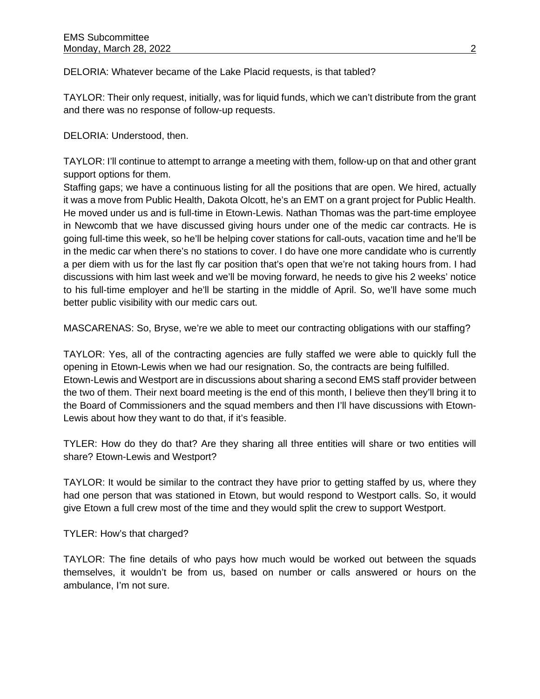DELORIA: Whatever became of the Lake Placid requests, is that tabled?

TAYLOR: Their only request, initially, was for liquid funds, which we can't distribute from the grant and there was no response of follow-up requests.

DELORIA: Understood, then.

TAYLOR: I'll continue to attempt to arrange a meeting with them, follow-up on that and other grant support options for them.

Staffing gaps; we have a continuous listing for all the positions that are open. We hired, actually it was a move from Public Health, Dakota Olcott, he's an EMT on a grant project for Public Health. He moved under us and is full-time in Etown-Lewis. Nathan Thomas was the part-time employee in Newcomb that we have discussed giving hours under one of the medic car contracts. He is going full-time this week, so he'll be helping cover stations for call-outs, vacation time and he'll be in the medic car when there's no stations to cover. I do have one more candidate who is currently a per diem with us for the last fly car position that's open that we're not taking hours from. I had discussions with him last week and we'll be moving forward, he needs to give his 2 weeks' notice to his full-time employer and he'll be starting in the middle of April. So, we'll have some much better public visibility with our medic cars out.

MASCARENAS: So, Bryse, we're we able to meet our contracting obligations with our staffing?

TAYLOR: Yes, all of the contracting agencies are fully staffed we were able to quickly full the opening in Etown-Lewis when we had our resignation. So, the contracts are being fulfilled. Etown-Lewis and Westport are in discussions about sharing a second EMS staff provider between the two of them. Their next board meeting is the end of this month, I believe then they'll bring it to the Board of Commissioners and the squad members and then I'll have discussions with Etown-Lewis about how they want to do that, if it's feasible.

TYLER: How do they do that? Are they sharing all three entities will share or two entities will share? Etown-Lewis and Westport?

TAYLOR: It would be similar to the contract they have prior to getting staffed by us, where they had one person that was stationed in Etown, but would respond to Westport calls. So, it would give Etown a full crew most of the time and they would split the crew to support Westport.

TYLER: How's that charged?

TAYLOR: The fine details of who pays how much would be worked out between the squads themselves, it wouldn't be from us, based on number or calls answered or hours on the ambulance, I'm not sure.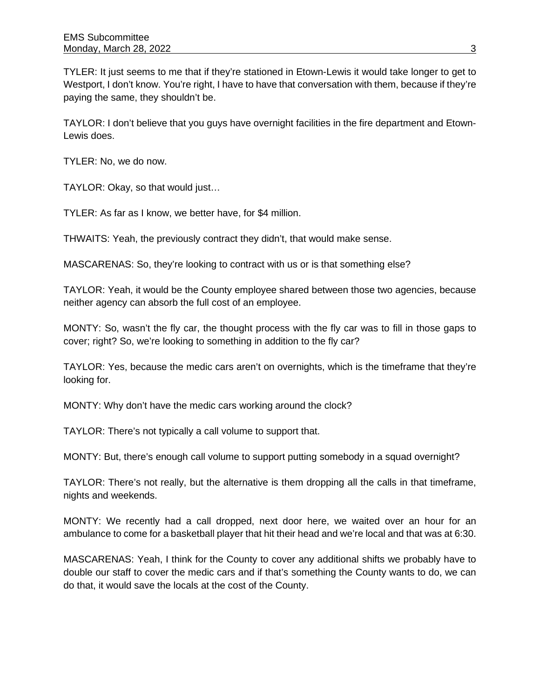TYLER: It just seems to me that if they're stationed in Etown-Lewis it would take longer to get to Westport, I don't know. You're right, I have to have that conversation with them, because if they're paying the same, they shouldn't be.

TAYLOR: I don't believe that you guys have overnight facilities in the fire department and Etown-Lewis does.

TYLER: No, we do now.

TAYLOR: Okay, so that would just…

TYLER: As far as I know, we better have, for \$4 million.

THWAITS: Yeah, the previously contract they didn't, that would make sense.

MASCARENAS: So, they're looking to contract with us or is that something else?

TAYLOR: Yeah, it would be the County employee shared between those two agencies, because neither agency can absorb the full cost of an employee.

MONTY: So, wasn't the fly car, the thought process with the fly car was to fill in those gaps to cover; right? So, we're looking to something in addition to the fly car?

TAYLOR: Yes, because the medic cars aren't on overnights, which is the timeframe that they're looking for.

MONTY: Why don't have the medic cars working around the clock?

TAYLOR: There's not typically a call volume to support that.

MONTY: But, there's enough call volume to support putting somebody in a squad overnight?

TAYLOR: There's not really, but the alternative is them dropping all the calls in that timeframe, nights and weekends.

MONTY: We recently had a call dropped, next door here, we waited over an hour for an ambulance to come for a basketball player that hit their head and we're local and that was at 6:30.

MASCARENAS: Yeah, I think for the County to cover any additional shifts we probably have to double our staff to cover the medic cars and if that's something the County wants to do, we can do that, it would save the locals at the cost of the County.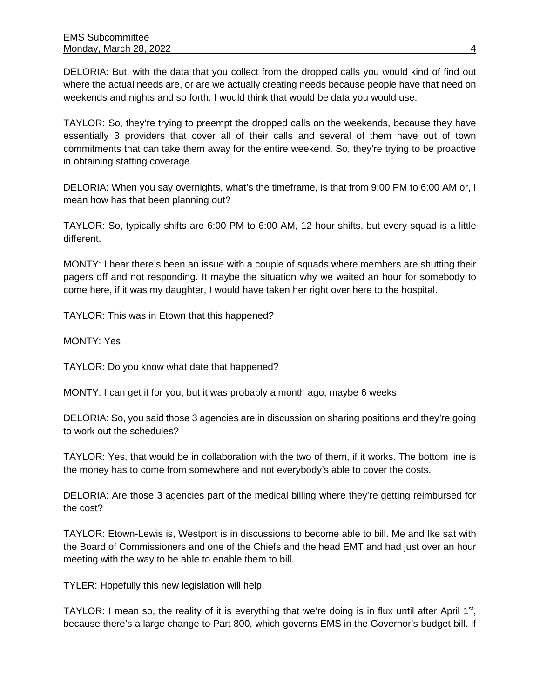DELORIA: But, with the data that you collect from the dropped calls you would kind of find out where the actual needs are, or are we actually creating needs because people have that need on weekends and nights and so forth. I would think that would be data you would use.

TAYLOR: So, they're trying to preempt the dropped calls on the weekends, because they have essentially 3 providers that cover all of their calls and several of them have out of town commitments that can take them away for the entire weekend. So, they're trying to be proactive in obtaining staffing coverage.

DELORIA: When you say overnights, what's the timeframe, is that from 9:00 PM to 6:00 AM or, I mean how has that been planning out?

TAYLOR: So, typically shifts are 6:00 PM to 6:00 AM, 12 hour shifts, but every squad is a little different.

MONTY: I hear there's been an issue with a couple of squads where members are shutting their pagers off and not responding. It maybe the situation why we waited an hour for somebody to come here, if it was my daughter, I would have taken her right over here to the hospital.

TAYLOR: This was in Etown that this happened?

MONTY: Yes

TAYLOR: Do you know what date that happened?

MONTY: I can get it for you, but it was probably a month ago, maybe 6 weeks.

DELORIA: So, you said those 3 agencies are in discussion on sharing positions and they're going to work out the schedules?

TAYLOR: Yes, that would be in collaboration with the two of them, if it works. The bottom line is the money has to come from somewhere and not everybody's able to cover the costs.

DELORIA: Are those 3 agencies part of the medical billing where they're getting reimbursed for the cost?

TAYLOR: Etown-Lewis is, Westport is in discussions to become able to bill. Me and Ike sat with the Board of Commissioners and one of the Chiefs and the head EMT and had just over an hour meeting with the way to be able to enable them to bill.

TYLER: Hopefully this new legislation will help.

TAYLOR: I mean so, the reality of it is everything that we're doing is in flux until after April  $1<sup>st</sup>$ , because there's a large change to Part 800, which governs EMS in the Governor's budget bill. If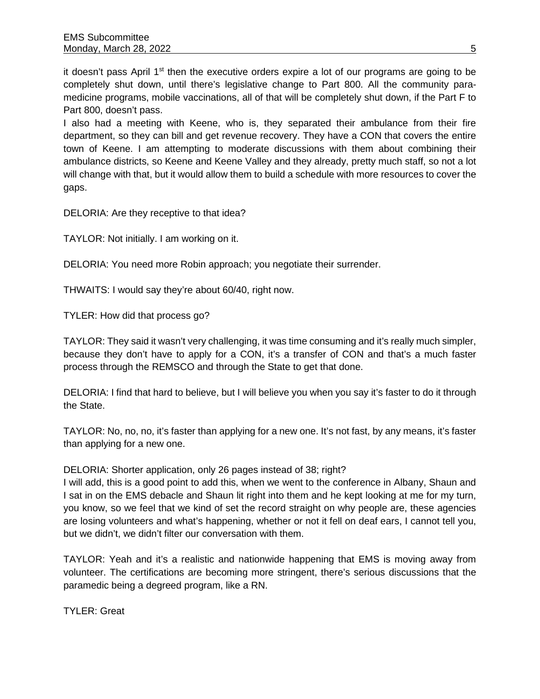it doesn't pass April  $1<sup>st</sup>$  then the executive orders expire a lot of our programs are going to be completely shut down, until there's legislative change to Part 800. All the community paramedicine programs, mobile vaccinations, all of that will be completely shut down, if the Part F to Part 800, doesn't pass.

I also had a meeting with Keene, who is, they separated their ambulance from their fire department, so they can bill and get revenue recovery. They have a CON that covers the entire town of Keene. I am attempting to moderate discussions with them about combining their ambulance districts, so Keene and Keene Valley and they already, pretty much staff, so not a lot will change with that, but it would allow them to build a schedule with more resources to cover the gaps.

DELORIA: Are they receptive to that idea?

TAYLOR: Not initially. I am working on it.

DELORIA: You need more Robin approach; you negotiate their surrender.

THWAITS: I would say they're about 60/40, right now.

TYLER: How did that process go?

TAYLOR: They said it wasn't very challenging, it was time consuming and it's really much simpler, because they don't have to apply for a CON, it's a transfer of CON and that's a much faster process through the REMSCO and through the State to get that done.

DELORIA: I find that hard to believe, but I will believe you when you say it's faster to do it through the State.

TAYLOR: No, no, no, it's faster than applying for a new one. It's not fast, by any means, it's faster than applying for a new one.

DELORIA: Shorter application, only 26 pages instead of 38; right?

I will add, this is a good point to add this, when we went to the conference in Albany, Shaun and I sat in on the EMS debacle and Shaun lit right into them and he kept looking at me for my turn, you know, so we feel that we kind of set the record straight on why people are, these agencies are losing volunteers and what's happening, whether or not it fell on deaf ears, I cannot tell you, but we didn't, we didn't filter our conversation with them.

TAYLOR: Yeah and it's a realistic and nationwide happening that EMS is moving away from volunteer. The certifications are becoming more stringent, there's serious discussions that the paramedic being a degreed program, like a RN.

TYLER: Great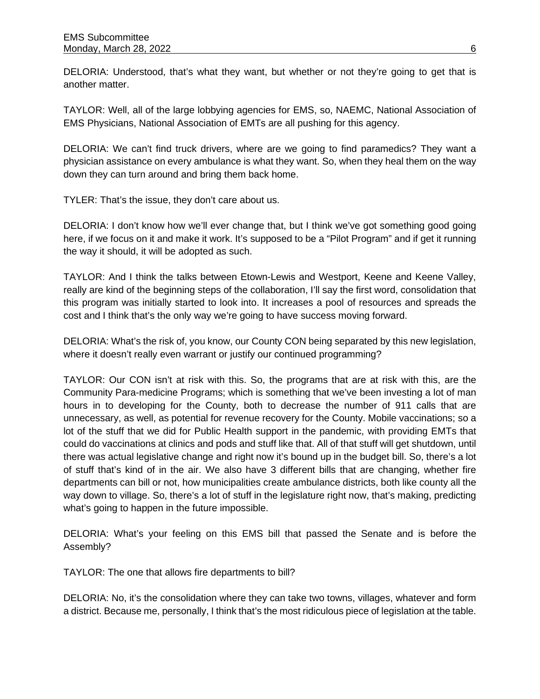DELORIA: Understood, that's what they want, but whether or not they're going to get that is another matter.

TAYLOR: Well, all of the large lobbying agencies for EMS, so, NAEMC, National Association of EMS Physicians, National Association of EMTs are all pushing for this agency.

DELORIA: We can't find truck drivers, where are we going to find paramedics? They want a physician assistance on every ambulance is what they want. So, when they heal them on the way down they can turn around and bring them back home.

TYLER: That's the issue, they don't care about us.

DELORIA: I don't know how we'll ever change that, but I think we've got something good going here, if we focus on it and make it work. It's supposed to be a "Pilot Program" and if get it running the way it should, it will be adopted as such.

TAYLOR: And I think the talks between Etown-Lewis and Westport, Keene and Keene Valley, really are kind of the beginning steps of the collaboration, I'll say the first word, consolidation that this program was initially started to look into. It increases a pool of resources and spreads the cost and I think that's the only way we're going to have success moving forward.

DELORIA: What's the risk of, you know, our County CON being separated by this new legislation, where it doesn't really even warrant or justify our continued programming?

TAYLOR: Our CON isn't at risk with this. So, the programs that are at risk with this, are the Community Para-medicine Programs; which is something that we've been investing a lot of man hours in to developing for the County, both to decrease the number of 911 calls that are unnecessary, as well, as potential for revenue recovery for the County. Mobile vaccinations; so a lot of the stuff that we did for Public Health support in the pandemic, with providing EMTs that could do vaccinations at clinics and pods and stuff like that. All of that stuff will get shutdown, until there was actual legislative change and right now it's bound up in the budget bill. So, there's a lot of stuff that's kind of in the air. We also have 3 different bills that are changing, whether fire departments can bill or not, how municipalities create ambulance districts, both like county all the way down to village. So, there's a lot of stuff in the legislature right now, that's making, predicting what's going to happen in the future impossible.

DELORIA: What's your feeling on this EMS bill that passed the Senate and is before the Assembly?

TAYLOR: The one that allows fire departments to bill?

DELORIA: No, it's the consolidation where they can take two towns, villages, whatever and form a district. Because me, personally, I think that's the most ridiculous piece of legislation at the table.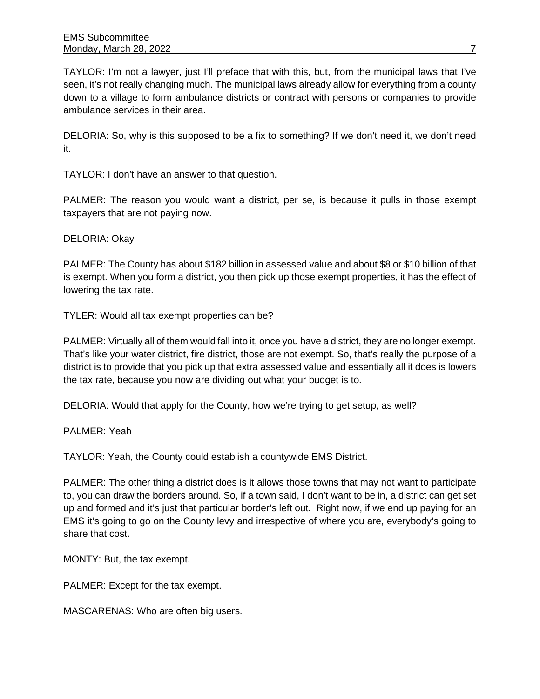TAYLOR: I'm not a lawyer, just I'll preface that with this, but, from the municipal laws that I've seen, it's not really changing much. The municipal laws already allow for everything from a county down to a village to form ambulance districts or contract with persons or companies to provide ambulance services in their area.

DELORIA: So, why is this supposed to be a fix to something? If we don't need it, we don't need it.

TAYLOR: I don't have an answer to that question.

PALMER: The reason you would want a district, per se, is because it pulls in those exempt taxpayers that are not paying now.

DELORIA: Okay

PALMER: The County has about \$182 billion in assessed value and about \$8 or \$10 billion of that is exempt. When you form a district, you then pick up those exempt properties, it has the effect of lowering the tax rate.

TYLER: Would all tax exempt properties can be?

PALMER: Virtually all of them would fall into it, once you have a district, they are no longer exempt. That's like your water district, fire district, those are not exempt. So, that's really the purpose of a district is to provide that you pick up that extra assessed value and essentially all it does is lowers the tax rate, because you now are dividing out what your budget is to.

DELORIA: Would that apply for the County, how we're trying to get setup, as well?

PALMER: Yeah

TAYLOR: Yeah, the County could establish a countywide EMS District.

PALMER: The other thing a district does is it allows those towns that may not want to participate to, you can draw the borders around. So, if a town said, I don't want to be in, a district can get set up and formed and it's just that particular border's left out. Right now, if we end up paying for an EMS it's going to go on the County levy and irrespective of where you are, everybody's going to share that cost.

MONTY: But, the tax exempt.

PALMER: Except for the tax exempt.

MASCARENAS: Who are often big users.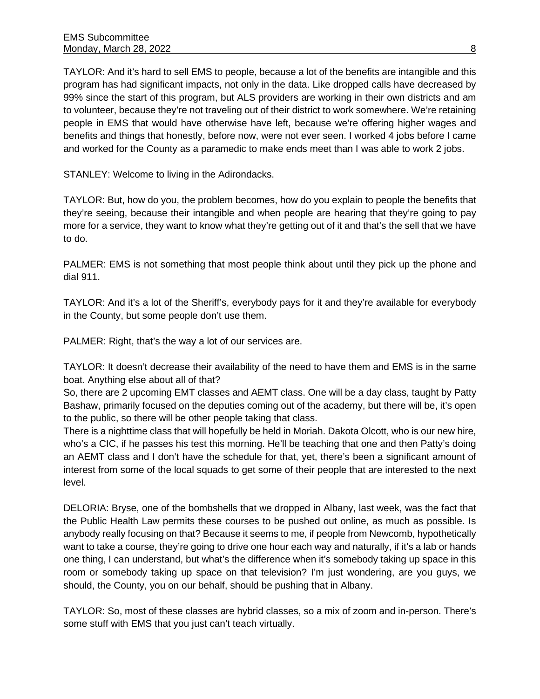TAYLOR: And it's hard to sell EMS to people, because a lot of the benefits are intangible and this program has had significant impacts, not only in the data. Like dropped calls have decreased by 99% since the start of this program, but ALS providers are working in their own districts and am to volunteer, because they're not traveling out of their district to work somewhere. We're retaining people in EMS that would have otherwise have left, because we're offering higher wages and benefits and things that honestly, before now, were not ever seen. I worked 4 jobs before I came and worked for the County as a paramedic to make ends meet than I was able to work 2 jobs.

STANLEY: Welcome to living in the Adirondacks.

TAYLOR: But, how do you, the problem becomes, how do you explain to people the benefits that they're seeing, because their intangible and when people are hearing that they're going to pay more for a service, they want to know what they're getting out of it and that's the sell that we have to do.

PALMER: EMS is not something that most people think about until they pick up the phone and dial 911.

TAYLOR: And it's a lot of the Sheriff's, everybody pays for it and they're available for everybody in the County, but some people don't use them.

PALMER: Right, that's the way a lot of our services are.

TAYLOR: It doesn't decrease their availability of the need to have them and EMS is in the same boat. Anything else about all of that?

So, there are 2 upcoming EMT classes and AEMT class. One will be a day class, taught by Patty Bashaw, primarily focused on the deputies coming out of the academy, but there will be, it's open to the public, so there will be other people taking that class.

There is a nighttime class that will hopefully be held in Moriah. Dakota Olcott, who is our new hire, who's a CIC, if he passes his test this morning. He'll be teaching that one and then Patty's doing an AEMT class and I don't have the schedule for that, yet, there's been a significant amount of interest from some of the local squads to get some of their people that are interested to the next level.

DELORIA: Bryse, one of the bombshells that we dropped in Albany, last week, was the fact that the Public Health Law permits these courses to be pushed out online, as much as possible. Is anybody really focusing on that? Because it seems to me, if people from Newcomb, hypothetically want to take a course, they're going to drive one hour each way and naturally, if it's a lab or hands one thing, I can understand, but what's the difference when it's somebody taking up space in this room or somebody taking up space on that television? I'm just wondering, are you guys, we should, the County, you on our behalf, should be pushing that in Albany.

TAYLOR: So, most of these classes are hybrid classes, so a mix of zoom and in-person. There's some stuff with EMS that you just can't teach virtually.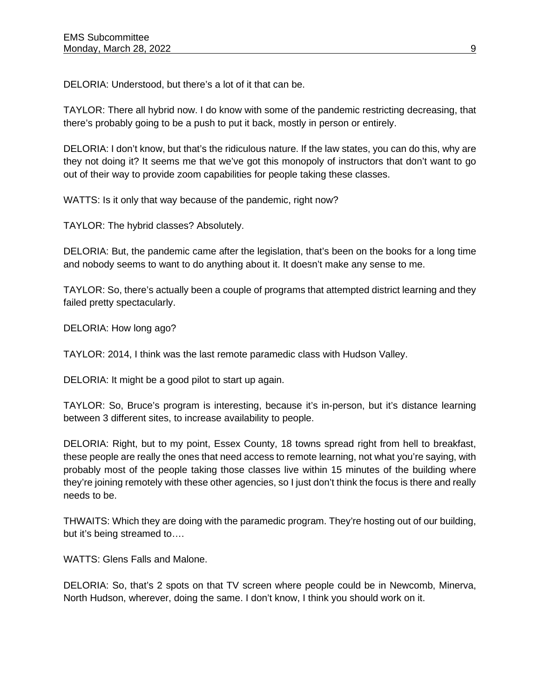DELORIA: Understood, but there's a lot of it that can be.

TAYLOR: There all hybrid now. I do know with some of the pandemic restricting decreasing, that there's probably going to be a push to put it back, mostly in person or entirely.

DELORIA: I don't know, but that's the ridiculous nature. If the law states, you can do this, why are they not doing it? It seems me that we've got this monopoly of instructors that don't want to go out of their way to provide zoom capabilities for people taking these classes.

WATTS: Is it only that way because of the pandemic, right now?

TAYLOR: The hybrid classes? Absolutely.

DELORIA: But, the pandemic came after the legislation, that's been on the books for a long time and nobody seems to want to do anything about it. It doesn't make any sense to me.

TAYLOR: So, there's actually been a couple of programs that attempted district learning and they failed pretty spectacularly.

DELORIA: How long ago?

TAYLOR: 2014, I think was the last remote paramedic class with Hudson Valley.

DELORIA: It might be a good pilot to start up again.

TAYLOR: So, Bruce's program is interesting, because it's in-person, but it's distance learning between 3 different sites, to increase availability to people.

DELORIA: Right, but to my point, Essex County, 18 towns spread right from hell to breakfast, these people are really the ones that need access to remote learning, not what you're saying, with probably most of the people taking those classes live within 15 minutes of the building where they're joining remotely with these other agencies, so I just don't think the focus is there and really needs to be.

THWAITS: Which they are doing with the paramedic program. They're hosting out of our building, but it's being streamed to….

WATTS: Glens Falls and Malone.

DELORIA: So, that's 2 spots on that TV screen where people could be in Newcomb, Minerva, North Hudson, wherever, doing the same. I don't know, I think you should work on it.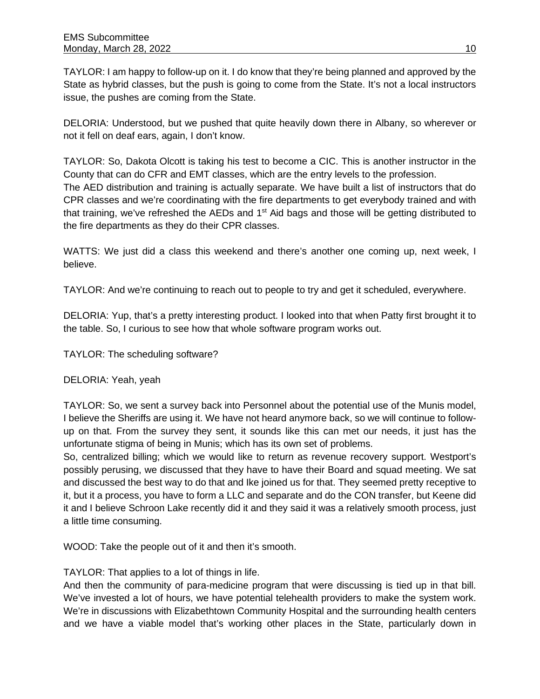TAYLOR: I am happy to follow-up on it. I do know that they're being planned and approved by the State as hybrid classes, but the push is going to come from the State. It's not a local instructors issue, the pushes are coming from the State.

DELORIA: Understood, but we pushed that quite heavily down there in Albany, so wherever or not it fell on deaf ears, again, I don't know.

TAYLOR: So, Dakota Olcott is taking his test to become a CIC. This is another instructor in the County that can do CFR and EMT classes, which are the entry levels to the profession. The AED distribution and training is actually separate. We have built a list of instructors that do CPR classes and we're coordinating with the fire departments to get everybody trained and with that training, we've refreshed the AEDs and 1<sup>st</sup> Aid bags and those will be getting distributed to the fire departments as they do their CPR classes.

WATTS: We just did a class this weekend and there's another one coming up, next week, I believe.

TAYLOR: And we're continuing to reach out to people to try and get it scheduled, everywhere.

DELORIA: Yup, that's a pretty interesting product. I looked into that when Patty first brought it to the table. So, I curious to see how that whole software program works out.

TAYLOR: The scheduling software?

DELORIA: Yeah, yeah

TAYLOR: So, we sent a survey back into Personnel about the potential use of the Munis model, I believe the Sheriffs are using it. We have not heard anymore back, so we will continue to followup on that. From the survey they sent, it sounds like this can met our needs, it just has the unfortunate stigma of being in Munis; which has its own set of problems.

So, centralized billing; which we would like to return as revenue recovery support. Westport's possibly perusing, we discussed that they have to have their Board and squad meeting. We sat and discussed the best way to do that and Ike joined us for that. They seemed pretty receptive to it, but it a process, you have to form a LLC and separate and do the CON transfer, but Keene did it and I believe Schroon Lake recently did it and they said it was a relatively smooth process, just a little time consuming.

WOOD: Take the people out of it and then it's smooth.

TAYLOR: That applies to a lot of things in life.

And then the community of para-medicine program that were discussing is tied up in that bill. We've invested a lot of hours, we have potential telehealth providers to make the system work. We're in discussions with Elizabethtown Community Hospital and the surrounding health centers and we have a viable model that's working other places in the State, particularly down in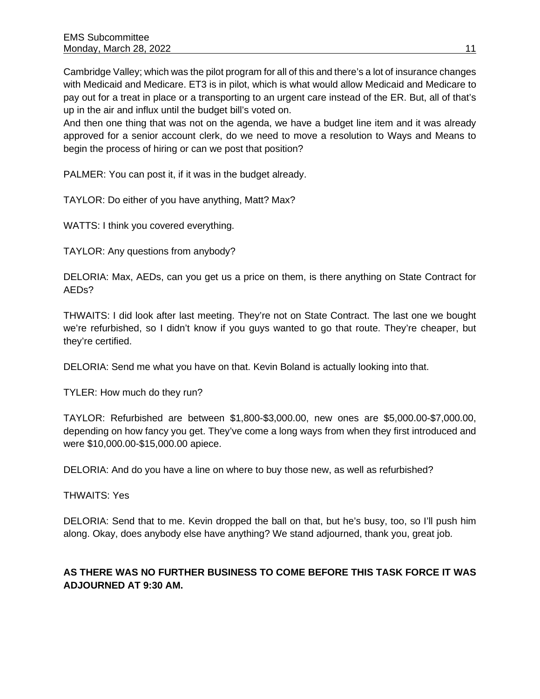Cambridge Valley; which was the pilot program for all of this and there's a lot of insurance changes with Medicaid and Medicare. ET3 is in pilot, which is what would allow Medicaid and Medicare to pay out for a treat in place or a transporting to an urgent care instead of the ER. But, all of that's up in the air and influx until the budget bill's voted on.

And then one thing that was not on the agenda, we have a budget line item and it was already approved for a senior account clerk, do we need to move a resolution to Ways and Means to begin the process of hiring or can we post that position?

PALMER: You can post it, if it was in the budget already.

TAYLOR: Do either of you have anything, Matt? Max?

WATTS: I think you covered everything.

TAYLOR: Any questions from anybody?

DELORIA: Max, AEDs, can you get us a price on them, is there anything on State Contract for AEDs?

THWAITS: I did look after last meeting. They're not on State Contract. The last one we bought we're refurbished, so I didn't know if you guys wanted to go that route. They're cheaper, but they're certified.

DELORIA: Send me what you have on that. Kevin Boland is actually looking into that.

TYLER: How much do they run?

TAYLOR: Refurbished are between \$1,800-\$3,000.00, new ones are \$5,000.00-\$7,000.00, depending on how fancy you get. They've come a long ways from when they first introduced and were \$10,000.00-\$15,000.00 apiece.

DELORIA: And do you have a line on where to buy those new, as well as refurbished?

THWAITS: Yes

DELORIA: Send that to me. Kevin dropped the ball on that, but he's busy, too, so I'll push him along. Okay, does anybody else have anything? We stand adjourned, thank you, great job.

## **AS THERE WAS NO FURTHER BUSINESS TO COME BEFORE THIS TASK FORCE IT WAS ADJOURNED AT 9:30 AM.**